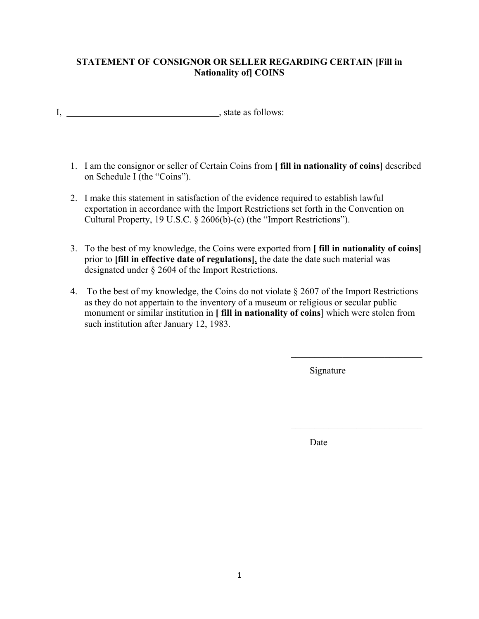## **STATEMENT OF CONSIGNOR OR SELLER REGARDING CERTAIN [Fill in Nationality of] COINS**

- I, \_\_\_\_\_\_\_\_\_\_\_\_\_\_\_\_\_\_\_\_\_\_\_\_\_\_\_\_\_, state as follows:
	- 1. I am the consignor or seller of Certain Coins from **[ fill in nationality of coins]** described on Schedule I (the "Coins").
	- 2. I make this statement in satisfaction of the evidence required to establish lawful exportation in accordance with the Import Restrictions set forth in the Convention on Cultural Property, 19 U.S.C. § 2606(b)-(c) (the "Import Restrictions").
	- 3. To the best of my knowledge, the Coins were exported from **[ fill in nationality of coins]** prior to **[fill in effective date of regulations]**, the date the date such material was designated under § 2604 of the Import Restrictions.
	- 4. To the best of my knowledge, the Coins do not violate § 2607 of the Import Restrictions as they do not appertain to the inventory of a museum or religious or secular public monument or similar institution in **[ fill in nationality of coins**] which were stolen from such institution after January 12, 1983.

Signature

Date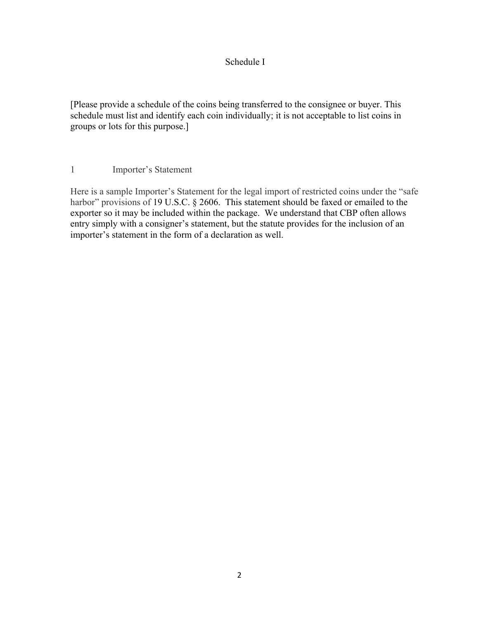## Schedule I

[Please provide a schedule of the coins being transferred to the consignee or buyer. This schedule must list and identify each coin individually; it is not acceptable to list coins in groups or lots for this purpose.]

1 Importer's Statement

Here is a sample Importer's Statement for the legal import of restricted coins under the "safe harbor" provisions of 19 U.S.C. § 2606. This statement should be faxed or emailed to the exporter so it may be included within the package. We understand that CBP often allows entry simply with a consigner's statement, but the statute provides for the inclusion of an importer's statement in the form of a declaration as well.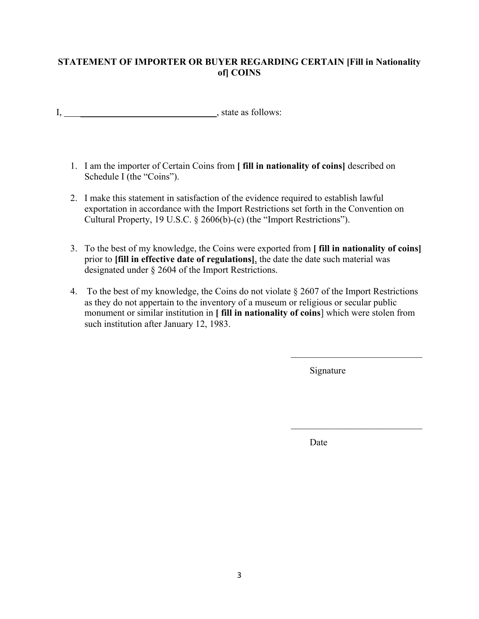## **STATEMENT OF IMPORTER OR BUYER REGARDING CERTAIN [Fill in Nationality of] COINS**

- I, \_\_\_\_\_\_\_\_\_\_\_\_\_\_\_\_\_\_\_\_\_\_\_\_\_\_\_\_\_, state as follows:
	- 1. I am the importer of Certain Coins from **[ fill in nationality of coins]** described on Schedule I (the "Coins").
	- 2. I make this statement in satisfaction of the evidence required to establish lawful exportation in accordance with the Import Restrictions set forth in the Convention on Cultural Property, 19 U.S.C. § 2606(b)-(c) (the "Import Restrictions").
	- 3. To the best of my knowledge, the Coins were exported from **[ fill in nationality of coins]**  prior to **[fill in effective date of regulations]**, the date the date such material was designated under § 2604 of the Import Restrictions.
	- 4. To the best of my knowledge, the Coins do not violate § 2607 of the Import Restrictions as they do not appertain to the inventory of a museum or religious or secular public monument or similar institution in **[ fill in nationality of coins**] which were stolen from such institution after January 12, 1983.

Signature

Date